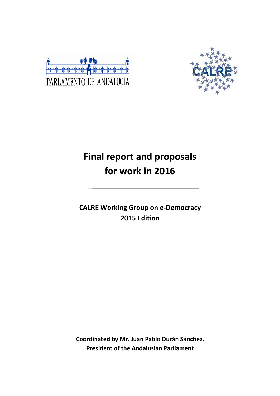



# **Final report and proposals for work in 2016**

**CALRE Working Group on e-Democracy 2015 Edition**

**Coordinated by Mr. Juan Pablo Durán Sánchez, President of the Andalusian Parliament**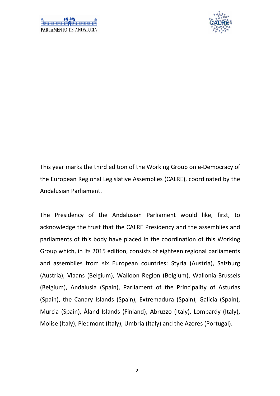$\begin{picture}(180,10) \put(0,0){\line(1,0){100}} \put(0,0){\line(1,0){100}} \put(0,0){\line(1,0){100}} \put(0,0){\line(1,0){100}} \put(0,0){\line(1,0){100}} \put(0,0){\line(1,0){100}} \put(0,0){\line(1,0){100}} \put(0,0){\line(1,0){100}} \put(0,0){\line(1,0){100}} \put(0,0){\line(1,0){100}} \put(0,0){\line(1,0){100}} \put(0,0){\line($ PARLAMENTO DE ANDALICIA



This year marks the third edition of the Working Group on e-Democracy of the European Regional Legislative Assemblies (CALRE), coordinated by the Andalusian Parliament.

The Presidency of the Andalusian Parliament would like, first, to acknowledge the trust that the CALRE Presidency and the assemblies and parliaments of this body have placed in the coordination of this Working Group which, in its 2015 edition, consists of eighteen regional parliaments and assemblies from six European countries: Styria (Austria), Salzburg (Austria), Vlaans (Belgium), Walloon Region (Belgium), Wallonia-Brussels (Belgium), Andalusia (Spain), Parliament of the Principality of Asturias (Spain), the Canary Islands (Spain), Extremadura (Spain), Galicia (Spain), Murcia (Spain), Åland Islands (Finland), Abruzzo (Italy), Lombardy (Italy), Molise (Italy), Piedmont (Italy), Umbria (Italy) and the Azores (Portugal).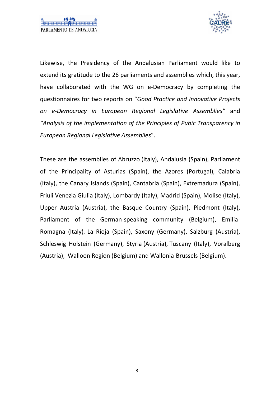

Likewise, the Presidency of the Andalusian Parliament would like to extend its gratitude to the 26 parliaments and assemblies which, this year, have collaborated with the WG on e-Democracy by completing the questionnaires for two reports on "*Good Practice and Innovative Projects on e-Democracy in European Regional Legislative Assemblies"* and *"Analysis of the implementation of the Principles of Pubic Transparency in European Regional Legislative Assemblies*".

These are the assemblies of Abruzzo (Italy), Andalusia (Spain), Parliament of the Principality of Asturias (Spain), the Azores (Portugal), Calabria (Italy), the Canary Islands (Spain), Cantabria (Spain), Extremadura (Spain), Friuli Venezia Giulia (Italy), Lombardy (Italy), Madrid (Spain), Molise (Italy), Upper Austria (Austria), the Basque Country (Spain), Piedmont (Italy), Parliament of the German-speaking community (Belgium), Emilia-Romagna (Italy), La Rioja (Spain), Saxony (Germany), Salzburg (Austria), Schleswig Holstein (Germany), Styria (Austria), Tuscany (Italy), Voralberg (Austria), Walloon Region (Belgium) and Wallonia-Brussels (Belgium).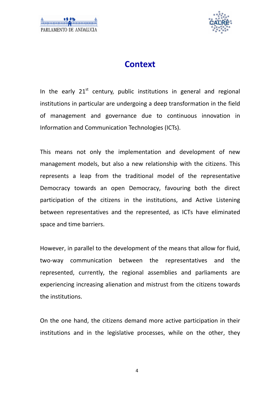PARLAMENTO DE ANDALUCIA



#### **Context**

In the early  $21^{st}$  century, public institutions in general and regional institutions in particular are undergoing a deep transformation in the field of management and governance due to continuous innovation in Information and Communication Technologies (ICTs).

This means not only the implementation and development of new management models, but also a new relationship with the citizens. This represents a leap from the traditional model of the representative Democracy towards an open Democracy, favouring both the direct participation of the citizens in the institutions, and Active Listening between representatives and the represented, as ICTs have eliminated space and time barriers.

However, in parallel to the development of the means that allow for fluid, two-way communication between the representatives and the represented, currently, the regional assemblies and parliaments are experiencing increasing alienation and mistrust from the citizens towards the institutions.

On the one hand, the citizens demand more active participation in their institutions and in the legislative processes, while on the other, they

4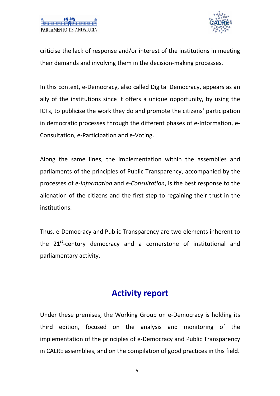

criticise the lack of response and/or interest of the institutions in meeting their demands and involving them in the decision-making processes.

In this context, e-Democracy, also called Digital Democracy, appears as an ally of the institutions since it offers a unique opportunity, by using the ICTs, to publicise the work they do and promote the citizens' participation in democratic processes through the different phases of e-Information, e-Consultation, e-Participation and e-Voting.

Along the same lines, the implementation within the assemblies and parliaments of the principles of Public Transparency, accompanied by the processes of *e-Information* and *e-Consultation*, is the best response to the alienation of the citizens and the first step to regaining their trust in the institutions.

Thus, e-Democracy and Public Transparency are two elements inherent to the  $21<sup>st</sup>$ -century democracy and a cornerstone of institutional and parliamentary activity.

#### **Activity report**

Under these premises, the Working Group on e-Democracy is holding its third edition, focused on the analysis and monitoring of the implementation of the principles of e-Democracy and Public Transparency in CALRE assemblies, and on the compilation of good practices in this field.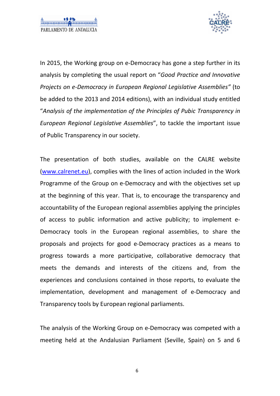

In 2015, the Working group on e-Democracy has gone a step further in its analysis by completing the usual report on "*Good Practice and Innovative Projects on e-Democracy in European Regional Legislative Assemblies"* (to be added to the 2013 and 2014 editions), with an individual study entitled "*Analysis of the implementation of the Principles of Pubic Transparency in European Regional Legislative Assemblies*", to tackle the important issue of Public Transparency in our society.

The presentation of both studies, available on the CALRE website (www.calrenet.eu), complies with the lines of action included in the Work Programme of the Group on e-Democracy and with the objectives set up at the beginning of this year. That is, to encourage the transparency and accountability of the European regional assemblies applying the principles of access to public information and active publicity; to implement e-Democracy tools in the European regional assemblies, to share the proposals and projects for good e-Democracy practices as a means to progress towards a more participative, collaborative democracy that meets the demands and interests of the citizens and, from the experiences and conclusions contained in those reports, to evaluate the implementation, development and management of e-Democracy and Transparency tools by European regional parliaments.

The analysis of the Working Group on e-Democracy was competed with a meeting held at the Andalusian Parliament (Seville, Spain) on 5 and 6

6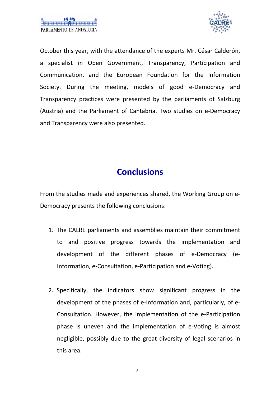

October this year, with the attendance of the experts Mr. César Calderón, a specialist in Open Government, Transparency, Participation and Communication, and the European Foundation for the Information Society. During the meeting, models of good e-Democracy and Transparency practices were presented by the parliaments of Salzburg (Austria) and the Parliament of Cantabria. Two studies on e-Democracy and Transparency were also presented.

### **Conclusions**

From the studies made and experiences shared, the Working Group on e-Democracy presents the following conclusions:

- 1. The CALRE parliaments and assemblies maintain their commitment to and positive progress towards the implementation and development of the different phases of e-Democracy (e-Information, e-Consultation, e-Participation and e-Voting).
- 2. Specifically, the indicators show significant progress in the development of the phases of e-Information and, particularly, of e-Consultation. However, the implementation of the e-Participation phase is uneven and the implementation of e-Voting is almost negligible, possibly due to the great diversity of legal scenarios in this area.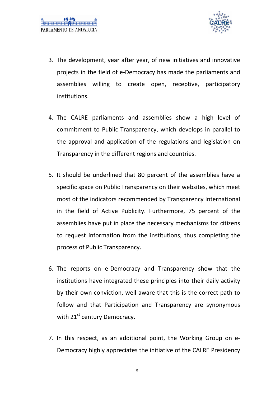

- 3. The development, year after year, of new initiatives and innovative projects in the field of e-Democracy has made the parliaments and assemblies willing to create open, receptive, participatory institutions.
- 4. The CALRE parliaments and assemblies show a high level of commitment to Public Transparency, which develops in parallel to the approval and application of the regulations and legislation on Transparency in the different regions and countries.
- 5. It should be underlined that 80 percent of the assemblies have a specific space on Public Transparency on their websites, which meet most of the indicators recommended by Transparency International in the field of Active Publicity. Furthermore, 75 percent of the assemblies have put in place the necessary mechanisms for citizens to request information from the institutions, thus completing the process of Public Transparency.
- 6. The reports on e-Democracy and Transparency show that the institutions have integrated these principles into their daily activity by their own conviction, well aware that this is the correct path to follow and that Participation and Transparency are synonymous with 21<sup>st</sup> century Democracy.
- 7. In this respect, as an additional point, the Working Group on e-Democracy highly appreciates the initiative of the CALRE Presidency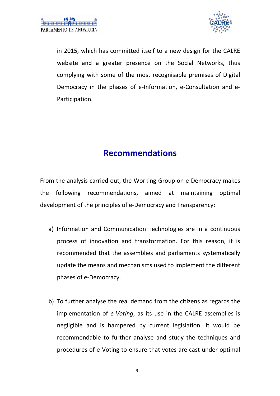

in 2015, which has committed itself to a new design for the CALRE website and a greater presence on the Social Networks, thus complying with some of the most recognisable premises of Digital Democracy in the phases of e-Information, e-Consultation and e-Participation.

# **Recommendations**

From the analysis carried out, the Working Group on e-Democracy makes the following recommendations, aimed at maintaining optimal development of the principles of e-Democracy and Transparency:

- a) Information and Communication Technologies are in a continuous process of innovation and transformation. For this reason, it is recommended that the assemblies and parliaments systematically update the means and mechanisms used to implement the different phases of e-Democracy.
- b) To further analyse the real demand from the citizens as regards the implementation of *e-Voting*, as its use in the CALRE assemblies is negligible and is hampered by current legislation. It would be recommendable to further analyse and study the techniques and procedures of e-Voting to ensure that votes are cast under optimal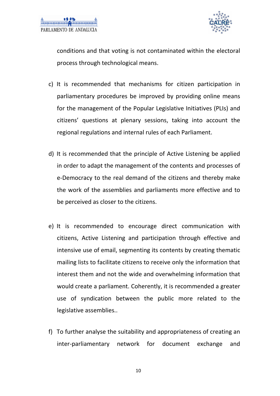

conditions and that voting is not contaminated within the electoral process through technological means.

- c) It is recommended that mechanisms for citizen participation in parliamentary procedures be improved by providing online means for the management of the Popular Legislative Initiatives (PLIs) and citizens' questions at plenary sessions, taking into account the regional regulations and internal rules of each Parliament.
- d) It is recommended that the principle of Active Listening be applied in order to adapt the management of the contents and processes of e-Democracy to the real demand of the citizens and thereby make the work of the assemblies and parliaments more effective and to be perceived as closer to the citizens.
- e) It is recommended to encourage direct communication with citizens, Active Listening and participation through effective and intensive use of email, segmenting its contents by creating thematic mailing lists to facilitate citizens to receive only the information that interest them and not the wide and overwhelming information that would create a parliament. Coherently, it is recommended a greater use of syndication between the public more related to the legislative assemblies..
- f) To further analyse the suitability and appropriateness of creating an inter-parliamentary network for document exchange and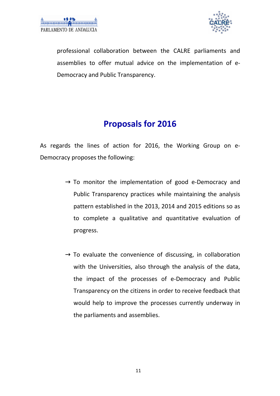

professional collaboration between the CALRE parliaments and assemblies to offer mutual advice on the implementation of e-Democracy and Public Transparency.

# **Proposals for 2016**

As regards the lines of action for 2016, the Working Group on e-Democracy proposes the following:

- $\rightarrow$  To monitor the implementation of good e-Democracy and Public Transparency practices while maintaining the analysis pattern established in the 2013, 2014 and 2015 editions so as to complete a qualitative and quantitative evaluation of progress.
- $\rightarrow$  To evaluate the convenience of discussing, in collaboration with the Universities, also through the analysis of the data, the impact of the processes of e-Democracy and Public Transparency on the citizens in order to receive feedback that would help to improve the processes currently underway in the parliaments and assemblies.